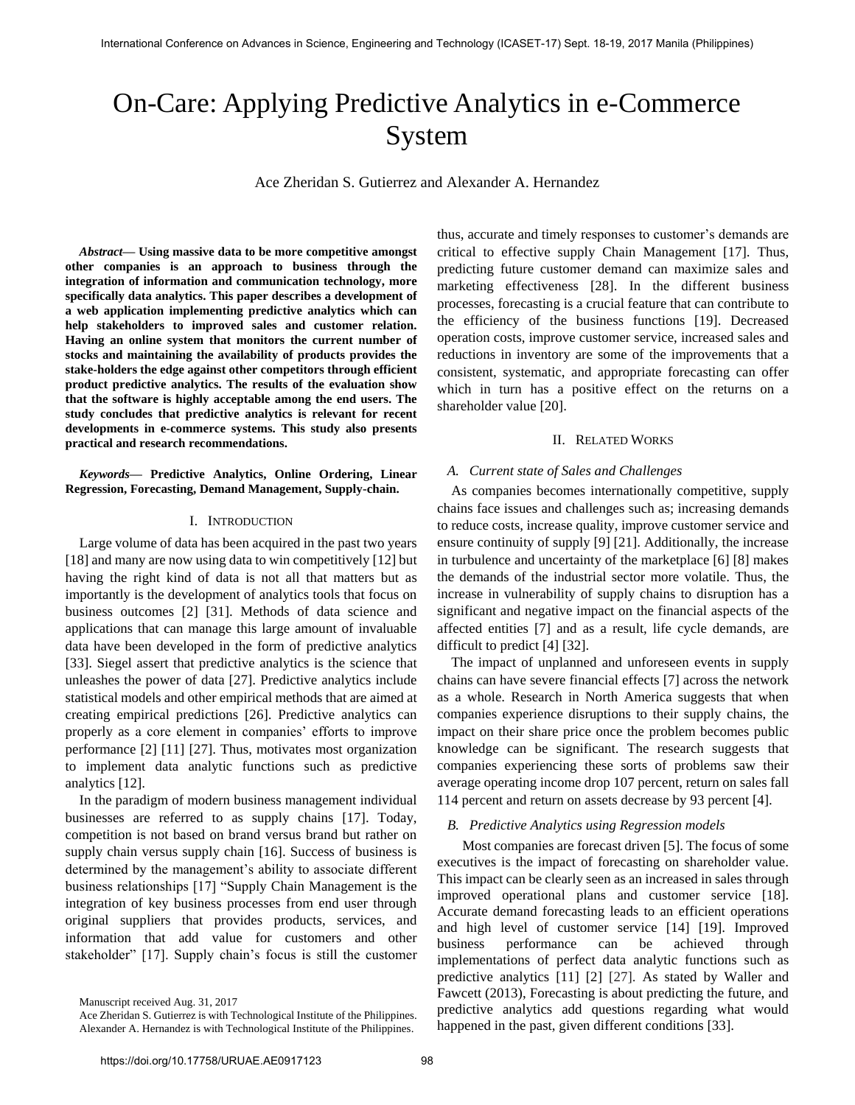# On-Care: Applying Predictive Analytics in e-Commerce System

Ace Zheridan S. Gutierrez and Alexander A. Hernandez

*Abstract***— Using massive data to be more competitive amongst other companies is an approach to business through the integration of information and communication technology, more specifically data analytics. This paper describes a development of a web application implementing predictive analytics which can help stakeholders to improved sales and customer relation. Having an online system that monitors the current number of stocks and maintaining the availability of products provides the stake-holders the edge against other competitors through efficient product predictive analytics. The results of the evaluation show that the software is highly acceptable among the end users. The study concludes that predictive analytics is relevant for recent developments in e-commerce systems. This study also presents practical and research recommendations.** 

# *Keywords***— Predictive Analytics, Online Ordering, Linear Regression, Forecasting, Demand Management, Supply-chain.**

# I. INTRODUCTION

Large volume of data has been acquired in the past two years [18] and many are now using data to win competitively [12] but having the right kind of data is not all that matters but as importantly is the development of analytics tools that focus on business outcomes [2] [31]. Methods of data science and applications that can manage this large amount of invaluable data have been developed in the form of predictive analytics [33]. Siegel assert that predictive analytics is the science that unleashes the power of data [27]. Predictive analytics include statistical models and other empirical methods that are aimed at creating empirical predictions [26]. Predictive analytics can properly as a core element in companies' efforts to improve performance [2] [11] [27]. Thus, motivates most organization to implement data analytic functions such as predictive analytics [12].

In the paradigm of modern business management individual businesses are referred to as supply chains [17]. Today, competition is not based on brand versus brand but rather on supply chain versus supply chain [16]. Success of business is determined by the management's ability to associate different business relationships [17] "Supply Chain Management is the integration of key business processes from end user through original suppliers that provides products, services, and information that add value for customers and other stakeholder" [17]. Supply chain's focus is still the customer

Manuscript received Aug. 31, 2017

thus, accurate and timely responses to customer's demands are critical to effective supply Chain Management [17]. Thus, predicting future customer demand can maximize sales and marketing effectiveness [28]. In the different business processes, forecasting is a crucial feature that can contribute to the efficiency of the business functions [19]. Decreased operation costs, improve customer service, increased sales and reductions in inventory are some of the improvements that a consistent, systematic, and appropriate forecasting can offer which in turn has a positive effect on the returns on a shareholder value [20].

# II. RELATED WORKS

## *A. Current state of Sales and Challenges*

As companies becomes internationally competitive, supply chains face issues and challenges such as; increasing demands to reduce costs, increase quality, improve customer service and ensure continuity of supply [9] [21]. Additionally, the increase in turbulence and uncertainty of the marketplace [6] [8] makes the demands of the industrial sector more volatile. Thus, the increase in vulnerability of supply chains to disruption has a significant and negative impact on the financial aspects of the affected entities [7] and as a result, life cycle demands, are difficult to predict [4] [32].

The impact of unplanned and unforeseen events in supply chains can have severe financial effects [7] across the network as a whole. Research in North America suggests that when companies experience disruptions to their supply chains, the impact on their share price once the problem becomes public knowledge can be significant. The research suggests that companies experiencing these sorts of problems saw their average operating income drop 107 percent, return on sales fall 114 percent and return on assets decrease by 93 percent [4].

#### *B. Predictive Analytics using Regression models*

Most companies are forecast driven [5]. The focus of some executives is the impact of forecasting on shareholder value. This impact can be clearly seen as an increased in sales through improved operational plans and customer service [18]. Accurate demand forecasting leads to an efficient operations and high level of customer service [14] [19]. Improved business performance can be achieved through implementations of perfect data analytic functions such as predictive analytics [11] [2] [27]. As stated by Waller and Fawcett (2013), Forecasting is about predicting the future, and predictive analytics add questions regarding what would happened in the past, given different conditions [33].

Ace Zheridan S. Gutierrez is with Technological Institute of the Philippines. Alexander A. Hernandez is with Technological Institute of the Philippines.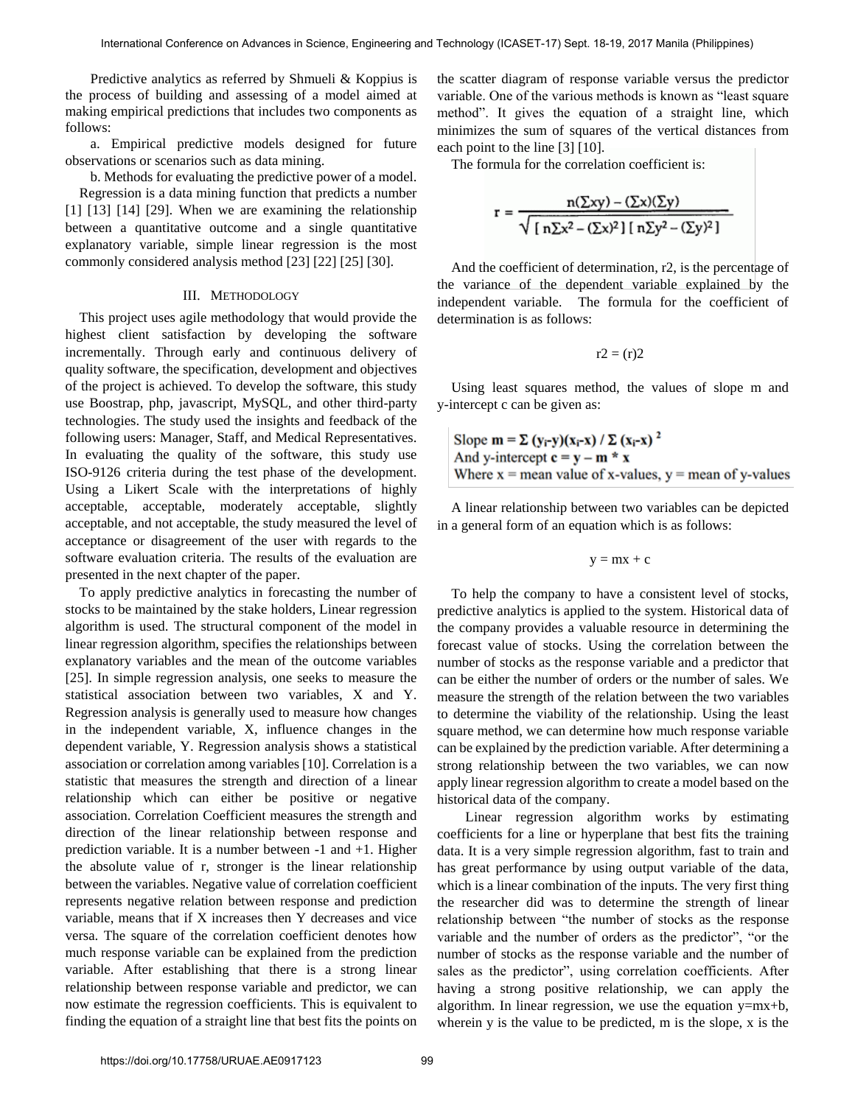Predictive analytics as referred by Shmueli & Koppius is the process of building and assessing of a model aimed at making empirical predictions that includes two components as follows:

a. Empirical predictive models designed for future observations or scenarios such as data mining.

b. Methods for evaluating the predictive power of a model.

Regression is a data mining function that predicts a number [1] [13] [14] [29]. When we are examining the relationship between a quantitative outcome and a single quantitative explanatory variable, simple linear regression is the most commonly considered analysis method [23] [22] [25] [30].

# III. METHODOLOGY

This project uses agile methodology that would provide the highest client satisfaction by developing the software incrementally. Through early and continuous delivery of quality software, the specification, development and objectives of the project is achieved. To develop the software, this study use Boostrap, php, javascript, MySQL, and other third-party technologies. The study used the insights and feedback of the following users: Manager, Staff, and Medical Representatives. In evaluating the quality of the software, this study use ISO-9126 criteria during the test phase of the development. Using a Likert Scale with the interpretations of highly acceptable, acceptable, moderately acceptable, slightly acceptable, and not acceptable, the study measured the level of acceptance or disagreement of the user with regards to the software evaluation criteria. The results of the evaluation are presented in the next chapter of the paper.

To apply predictive analytics in forecasting the number of stocks to be maintained by the stake holders, Linear regression algorithm is used. The structural component of the model in linear regression algorithm, specifies the relationships between explanatory variables and the mean of the outcome variables [25]. In simple regression analysis, one seeks to measure the statistical association between two variables, X and Y. Regression analysis is generally used to measure how changes in the independent variable, X, influence changes in the dependent variable, Y. Regression analysis shows a statistical association or correlation among variables [10]. Correlation is a statistic that measures the strength and direction of a linear relationship which can either be positive or negative association. Correlation Coefficient measures the strength and direction of the linear relationship between response and prediction variable. It is a number between -1 and +1. Higher the absolute value of r, stronger is the linear relationship between the variables. Negative value of correlation coefficient represents negative relation between response and prediction variable, means that if X increases then Y decreases and vice versa. The square of the correlation coefficient denotes how much response variable can be explained from the prediction variable. After establishing that there is a strong linear relationship between response variable and predictor, we can now estimate the regression coefficients. This is equivalent to finding the equation of a straight line that best fits the points on the scatter diagram of response variable versus the predictor variable. One of the various methods is known as "least square method". It gives the equation of a straight line, which minimizes the sum of squares of the vertical distances from each point to the line [3] [10].

The formula for the correlation coefficient is:

$$
r = \frac{n(\Sigma xy) - (\Sigma x)(\Sigma y)}{\sqrt{\left[\ n\Sigma x^2 - (\Sigma x)^2\right] \left[\ n\Sigma y^2 - (\Sigma y)^2\right]}}
$$

And the coefficient of determination, r2, is the percentage of the variance of the dependent variable explained by the independent variable. The formula for the coefficient of determination is as follows:

$$
r2 = (r)2
$$

Using least squares method, the values of slope m and y-intercept c can be given as:

Slope 
$$
\mathbf{m} = \Sigma (\mathbf{y}_i - \mathbf{y})(\mathbf{x}_i - \mathbf{x}) / \Sigma (\mathbf{x}_i - \mathbf{x})^2
$$
  
And y-intercept  $\mathbf{c} = \mathbf{y} - \mathbf{m} * \mathbf{x}$   
Where  $\mathbf{x} =$  mean value of x-values,  $\mathbf{y} =$  mean of y-values

A linear relationship between two variables can be depicted in a general form of an equation which is as follows:

$$
y=mx+c
$$

To help the company to have a consistent level of stocks, predictive analytics is applied to the system. Historical data of the company provides a valuable resource in determining the forecast value of stocks. Using the correlation between the number of stocks as the response variable and a predictor that can be either the number of orders or the number of sales. We measure the strength of the relation between the two variables to determine the viability of the relationship. Using the least square method, we can determine how much response variable can be explained by the prediction variable. After determining a strong relationship between the two variables, we can now apply linear regression algorithm to create a model based on the historical data of the company.

Linear regression algorithm works by estimating coefficients for a line or hyperplane that best fits the training data. It is a very simple regression algorithm, fast to train and has great performance by using output variable of the data, which is a linear combination of the inputs. The very first thing the researcher did was to determine the strength of linear relationship between "the number of stocks as the response variable and the number of orders as the predictor", "or the number of stocks as the response variable and the number of sales as the predictor", using correlation coefficients. After having a strong positive relationship, we can apply the algorithm. In linear regression, we use the equation  $y=mx+b$ , wherein y is the value to be predicted, m is the slope, x is the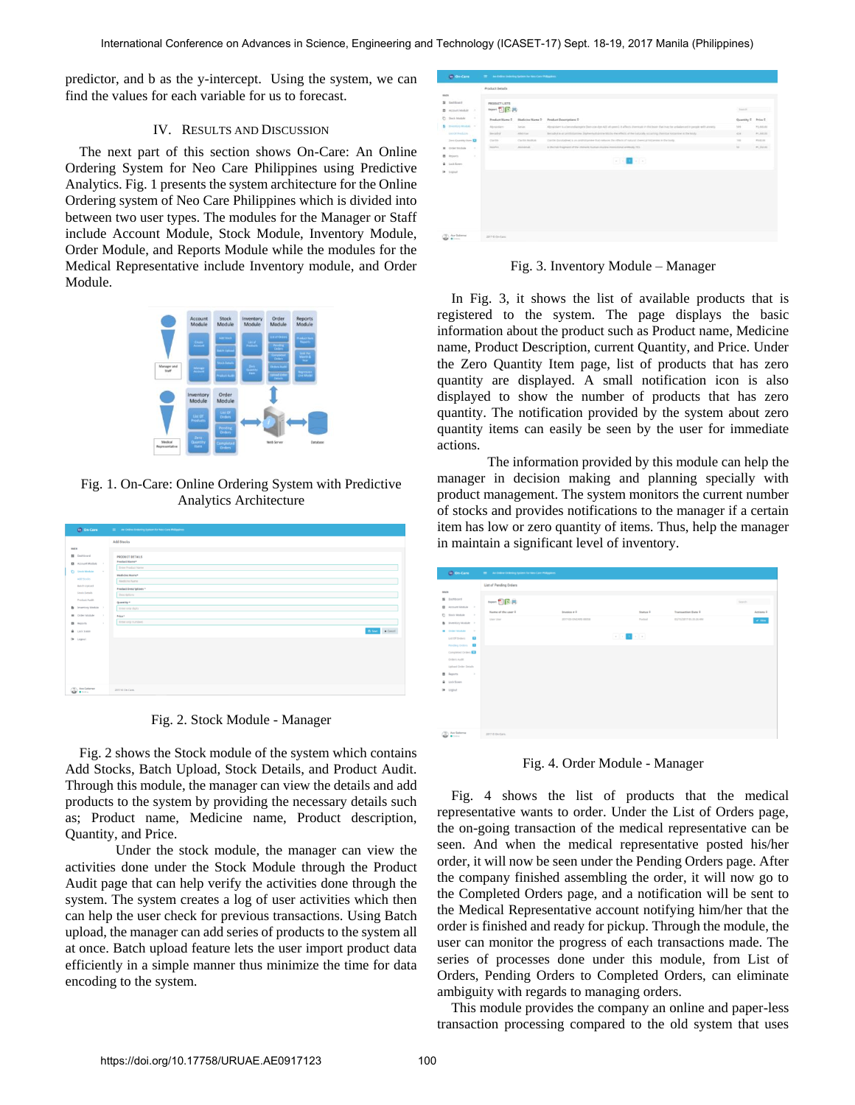predictor, and b as the y-intercept. Using the system, we can find the values for each variable for us to forecast.

# IV. RESULTS AND DISCUSSION

The next part of this section shows On-Care: An Online Ordering System for Neo Care Philippines using Predictive Analytics. Fig. 1 presents the system architecture for the Online Ordering system of Neo Care Philippines which is divided into between two user types. The modules for the Manager or Staff include Account Module, Stock Module, Inventory Module, Order Module, and Reports Module while the modules for the Medical Representative include Inventory module, and Order Module.



Fig. 1. On-Care: Online Ordering System with Predictive Analytics Architecture



Fig. 2. Stock Module - Manager

Fig. 2 shows the Stock module of the system which contains Add Stocks, Batch Upload, Stock Details, and Product Audit. Through this module, the manager can view the details and add products to the system by providing the necessary details such as; Product name, Medicine name, Product description, Quantity, and Price.

Under the stock module, the manager can view the activities done under the Stock Module through the Product Audit page that can help verify the activities done through the system. The system creates a log of user activities which then can help the user check for previous transactions. Using Batch upload, the manager can add series of products to the system all at once. Batch upload feature lets the user import product data efficiently in a simple manner thus minimize the time for data encoding to the system.

| month.                                                        |                                                                                                                          | Product Details                  |                                |                                                                                                                                             |                    |            |
|---------------------------------------------------------------|--------------------------------------------------------------------------------------------------------------------------|----------------------------------|--------------------------------|---------------------------------------------------------------------------------------------------------------------------------------------|--------------------|------------|
| <b>N</b> Deltaned<br>B Attnet Module A                        |                                                                                                                          | PRODUCT LISTS<br>trent <b>图片</b> |                                |                                                                                                                                             | territi            |            |
| C Smith Module                                                | $\sim$                                                                                                                   |                                  | Preduct Name E Medicine Name 9 | <b>Product Descriptions 2</b>                                                                                                               | Quantity 8 Frica 6 |            |
| <b>B</b> Invention Module 14                                  |                                                                                                                          | Alphanisen                       | <b>Sanion</b>                  | Abrahham is a benerolancery of then you due A25 att years). It affects immediate the brain that may be unfailars and in people with answers | 339                | PLSILIN    |
| Live Of Houghards                                             |                                                                                                                          | Service Brick                    | Aberton                        | Benabul is an antitriturence. Stateschatrices Model the effects of the naturally scouring chemical histories in the look-                   | <b>KIN</b>         | #1,555,225 |
| Zies Quantity Joen 1                                          |                                                                                                                          | Claritor                         | Callie Hotals                  | Clarific Docataling is an amingtoning that reduces the effects of subural chemical histaneous initial body.                                 | 788                | POSSE      |
| <b>B</b> Order Stocker                                        | $\sim$                                                                                                                   | limites.                         | Allohemato                     | A the Fab fragment of the chimenic burban murries moves firms and by 70%.                                                                   | $^{16}$            | PLYAIN'    |
| <b>B</b> Reports<br><b>B</b> Link Screen<br><b>De tournet</b> | $\sim$<br>$\mathcal{L}^{\mathcal{L}}(\mathcal{L})=\prod_{i=1}^{n} \mathcal{L}^{\mathcal{L}}(\mathcal{L}^{\mathcal{L}}).$ |                                  |                                |                                                                                                                                             |                    |            |
|                                                               |                                                                                                                          |                                  |                                |                                                                                                                                             |                    |            |
|                                                               |                                                                                                                          |                                  |                                |                                                                                                                                             |                    |            |
|                                                               |                                                                                                                          |                                  |                                |                                                                                                                                             |                    |            |
|                                                               |                                                                                                                          |                                  |                                |                                                                                                                                             |                    |            |
|                                                               |                                                                                                                          |                                  |                                |                                                                                                                                             |                    |            |
|                                                               |                                                                                                                          |                                  |                                |                                                                                                                                             |                    |            |

Fig. 3. Inventory Module – Manager

In Fig. 3, it shows the list of available products that is registered to the system. The page displays the basic information about the product such as Product name, Medicine name, Product Description, current Quantity, and Price. Under the Zero Quantity Item page, list of products that has zero quantity are displayed. A small notification icon is also displayed to show the number of products that has zero quantity. The notification provided by the system about zero quantity items can easily be seen by the user for immediate actions.

The information provided by this module can help the manager in decision making and planning specially with product management. The system monitors the current number of stocks and provides notifications to the manager if a certain item has low or zero quantity of items. Thus, help the manager in maintain a significant level of inventory.

|     | <b>OD</b> On-Care                                                                                  | - An Online Ordering System for Neo-Care Philippines |                      |                                                                                     |                           |                                |  |
|-----|----------------------------------------------------------------------------------------------------|------------------------------------------------------|----------------------|-------------------------------------------------------------------------------------|---------------------------|--------------------------------|--|
|     |                                                                                                    | List of Pending Orders                               |                      |                                                                                     |                           |                                |  |
| man | <b>N</b> Dashboard<br>B Account Module >                                                           | typet <b>因同</b> 員<br>Name of the user #              | Invoice # 2          | Status #                                                                            | <b>Transaction Date #</b> | Search<br>Actions <sup>2</sup> |  |
|     | □ Stock Module →<br><b>b</b> Inventory Module                                                      | User User                                            | 2013 03-DNCARE 00058 | Posted                                                                              | 03/15/2017 05:35:24 AM    | $\omega$ view                  |  |
|     | <b>B</b> Criter Module<br>$\sim$<br>List of orders<br>Pending Orders <b>12</b><br>Completed Orders |                                                      |                      | $\mathbb{E}[\mathcal{A}]\times\mathbb{E}[\mathcal{A}]\times\mathbb{E}[\mathcal{A}]$ |                           |                                |  |
|     | <b>Cerdiens Audit</b><br>Upload Order Details<br><b>B</b> Reports<br>$\sim$                        |                                                      |                      |                                                                                     |                           |                                |  |
| ٠   | Lock Sceen<br><b>Se</b> Logout                                                                     |                                                      |                      |                                                                                     |                           |                                |  |
|     | / R . An Gallery<br><b>B</b> Dollar                                                                | 2017 © On Care.                                      |                      |                                                                                     |                           |                                |  |

Fig. 4. Order Module - Manager

Fig. 4 shows the list of products that the medical representative wants to order. Under the List of Orders page, the on-going transaction of the medical representative can be seen. And when the medical representative posted his/her order, it will now be seen under the Pending Orders page. After the company finished assembling the order, it will now go to the Completed Orders page, and a notification will be sent to the Medical Representative account notifying him/her that the order is finished and ready for pickup. Through the module, the user can monitor the progress of each transactions made. The series of processes done under this module, from List of Orders, Pending Orders to Completed Orders, can eliminate ambiguity with regards to managing orders.

This module provides the company an online and paper-less transaction processing compared to the old system that uses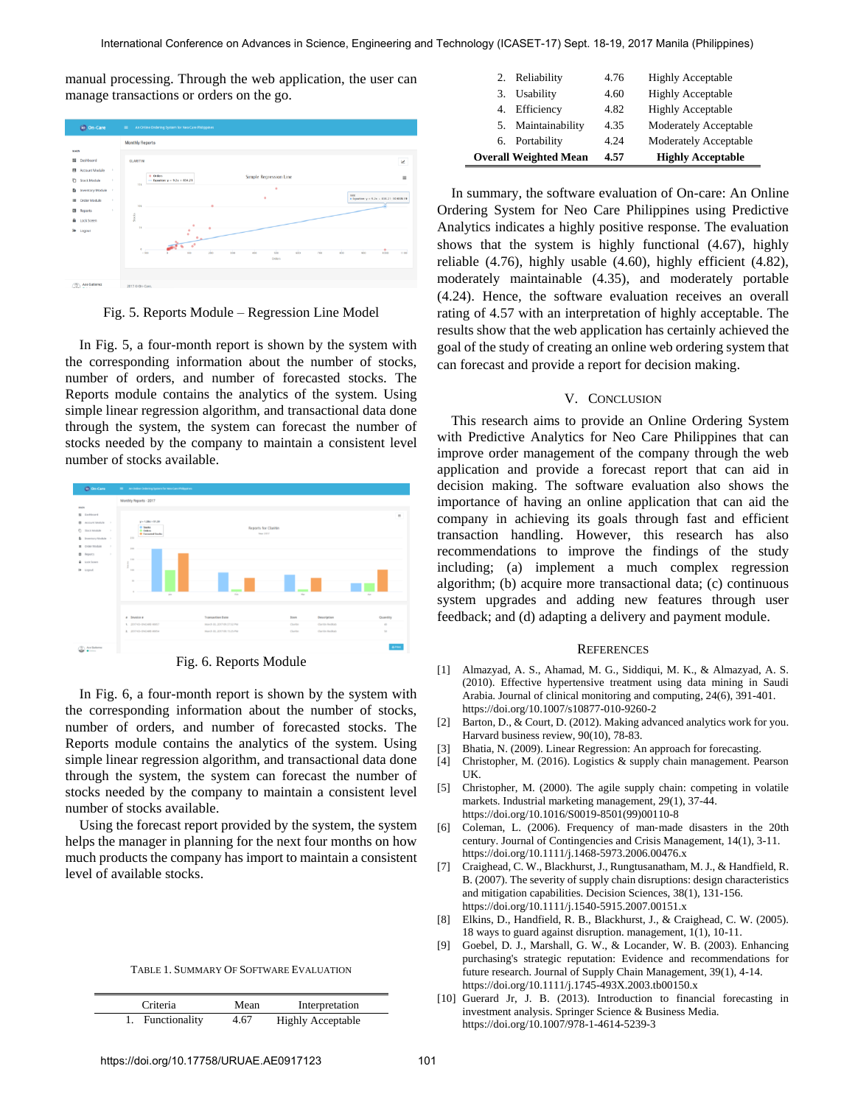manual processing. Through the web application, the user can manage transactions or orders on the go.



Fig. 5. Reports Module – Regression Line Model

In Fig. 5, a four-month report is shown by the system with the corresponding information about the number of stocks, number of orders, and number of forecasted stocks. The Reports module contains the analytics of the system. Using simple linear regression algorithm, and transactional data done through the system, the system can forecast the number of stocks needed by the company to maintain a consistent level number of stocks available.



In Fig. 6, a four-month report is shown by the system with

the corresponding information about the number of stocks, number of orders, and number of forecasted stocks. The Reports module contains the analytics of the system. Using simple linear regression algorithm, and transactional data done through the system, the system can forecast the number of stocks needed by the company to maintain a consistent level number of stocks available.

Using the forecast report provided by the system, the system helps the manager in planning for the next four months on how much products the company has import to maintain a consistent level of available stocks.

| TABLE 1. SUMMARY OF SOFTWARE EVALUATION |  |
|-----------------------------------------|--|
|-----------------------------------------|--|

| Criteria         | Mean | Interpretation           |
|------------------|------|--------------------------|
| 1. Functionality | 4.67 | <b>Highly Acceptable</b> |

| 2. Reliability               |                    | 4.76 | <b>Highly Acceptable</b>     |
|------------------------------|--------------------|------|------------------------------|
| 3. Usability                 |                    | 4.60 | <b>Highly Acceptable</b>     |
| 4. Efficiency                |                    | 4.82 | <b>Highly Acceptable</b>     |
|                              | 5. Maintainability | 4.35 | Moderately Acceptable        |
| 6. Portability               |                    | 4.24 | <b>Moderately Acceptable</b> |
| <b>Overall Weighted Mean</b> |                    | 4.57 | <b>Highly Acceptable</b>     |

In summary, the software evaluation of On-care: An Online Ordering System for Neo Care Philippines using Predictive Analytics indicates a highly positive response. The evaluation shows that the system is highly functional (4.67), highly reliable (4.76), highly usable (4.60), highly efficient (4.82), moderately maintainable (4.35), and moderately portable (4.24). Hence, the software evaluation receives an overall rating of 4.57 with an interpretation of highly acceptable. The results show that the web application has certainly achieved the goal of the study of creating an online web ordering system that can forecast and provide a report for decision making.

# V. CONCLUSION

This research aims to provide an Online Ordering System with Predictive Analytics for Neo Care Philippines that can improve order management of the company through the web application and provide a forecast report that can aid in decision making. The software evaluation also shows the importance of having an online application that can aid the company in achieving its goals through fast and efficient transaction handling. However, this research has also recommendations to improve the findings of the study including; (a) implement a much complex regression algorithm; (b) acquire more transactional data; (c) continuous system upgrades and adding new features through user feedback; and (d) adapting a delivery and payment module.

#### **REFERENCES**

- [1] [Almazyad, A. S., Ahamad, M. G., Siddiqui, M. K., & Almazyad, A. S.](https://doi.org/10.1007/s10877-010-9260-2)  [\(2010\). Effective hypertensive treatment using data mining in Saudi](https://doi.org/10.1007/s10877-010-9260-2)  [Arabia. Journal of clinical monitoring and computing, 24\(6\), 391-401.](https://doi.org/10.1007/s10877-010-9260-2) https://doi.org/10.1007/s10877-010-9260-2
- [2] Barton, D., & Court, D. (2012). Making advanced analytics work for you. Harvard business review, 90(10), 78-83.
- [3] Bhatia, N. (2009). Linear Regression: An approach for forecasting.
- [4] Christopher, M. (2016). Logistics & supply chain management. Pearson UK.
- [5] [Christopher, M. \(2000\). The agile supply chain: competing in volatile](https://doi.org/10.1016/S0019-8501(99)00110-8)  [markets. Industrial marketing management, 29\(1\), 37-44.](https://doi.org/10.1016/S0019-8501(99)00110-8) https://doi.org/10.1016/S0019-8501(99)00110-8
- [6] [Coleman, L. \(2006\). Frequency of man](https://doi.org/10.1111/j.1468-5973.2006.00476.x)-made disasters in the 20th [century. Journal of Contingencies and Crisis Management, 14\(1\), 3-11.](https://doi.org/10.1111/j.1468-5973.2006.00476.x) https://doi.org/10.1111/j.1468-5973.2006.00476.x
- [7] [Craighead, C. W., Blackhurst, J., Rungtusanatham, M. J., & Handfield, R.](https://doi.org/10.1111/j.1540-5915.2007.00151.x)  [B. \(2007\). The severity of supply chain disruptions: design characteristics](https://doi.org/10.1111/j.1540-5915.2007.00151.x)  [and mitigation capabilities. Decision Sciences, 38\(1\), 131-156.](https://doi.org/10.1111/j.1540-5915.2007.00151.x) https://doi.org/10.1111/j.1540-5915.2007.00151.x
- [8] Elkins, D., Handfield, R. B., Blackhurst, J., & Craighead, C. W. (2005). 18 ways to guard against disruption. management, 1(1), 10-11.
- [9] [Goebel, D. J., Marshall, G. W., & Locander, W. B. \(2003\). Enhancing](https://doi.org/10.1111/j.1745-493X.2003.tb00150.x)  [purchasing's strategic reputation: Evidence and recommendations for](https://doi.org/10.1111/j.1745-493X.2003.tb00150.x)  [future research. Journal of Supply Chain Management, 39\(1\), 4-14.](https://doi.org/10.1111/j.1745-493X.2003.tb00150.x) https://doi.org/10.1111/j.1745-493X.2003.tb00150.x
- [10] Guerard Jr, J. B. (2013). Introduction to financial forecasting in [investment analysis. Springer Science & Business Media.](https://doi.org/10.1007/978-1-4614-5239-3) https://doi.org/10.1007/978-1-4614-5239-3